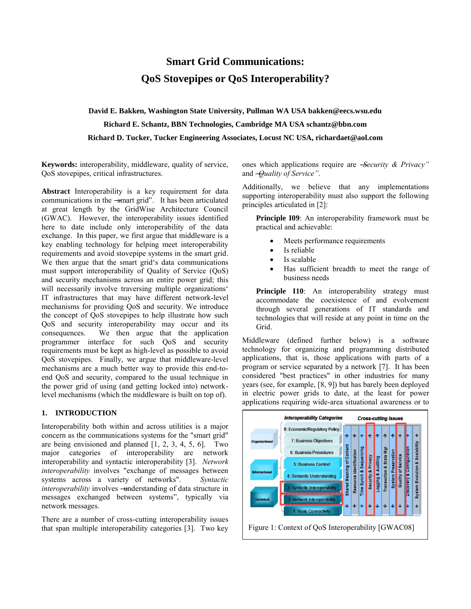# **Smart Grid Communications: QoS Stovepipes or QoS Interoperability?**

**David E. Bakken, Washington State University, Pullman WA USA bakken@eecs.wsu.edu Richard E. Schantz, BBN Technologies, Cambridge MA USA schantz@bbn.com Richard D. Tucker, Tucker Engineering Associates, Locust NC USA, richardaet@aol.com** 

**Keywords:** interoperability, middleware, quality of service, QoS stovepipes, critical infrastructures.

**Abstract** Interoperability is a key requirement for data communications in the -smart grid". It has been articulated at great length by the GridWise Architecture Council (GWAC). However, the interoperability issues identified here to date include only interoperability of the data exchange. In this paper, we first argue that middleware is a key enabling technology for helping meet interoperability requirements and avoid stovepipe systems in the smart grid. We then argue that the smart grid's data communications must support interoperability of Quality of Service (QoS) and security mechanisms across an entire power grid; this will necessarily involve traversing multiple organizations' IT infrastructures that may have different network-level mechanisms for providing QoS and security. We introduce the concept of QoS stovepipes to help illustrate how such QoS and security interoperability may occur and its consequences. We then argue that the application programmer interface for such QoS and security requirements must be kept as high-level as possible to avoid QoS stovepipes. Finally, we argue that middleware-level mechanisms are a much better way to provide this end-toend QoS and security, compared to the usual technique in the power grid of using (and getting locked into) networklevel mechanisms (which the middleware is built on top of).

### **1. INTRODUCTION**

Interoperability both within and across utilities is a major concern as the communications systems for the "smart grid" are being envisioned and planned  $[1, 2, 3, 4, 5, 6]$ . Two major categories of interoperability are network interoperability and syntactic interoperability [3]. *Network interoperability* involves "exchange of messages between systems across a variety of networks". *Syntactic interoperability* involves - understanding of data structure in messages exchanged between systems", typically via network messages.

There are a number of cross-cutting interoperability issues that span multiple interoperability categories [3]. Two key

ones which applications require are ―*Security & Privacy"* and ―*Quality of Service"*.

Additionally, we believe that any implementations supporting interoperability must also support the following principles articulated in [2]:

**Principle I09**: An interoperability framework must be practical and achievable:

- Meets performance requirements
- Is reliable
- Is scalable
- Has sufficient breadth to meet the range of business needs

Principle I10: An interoperability strategy must accommodate the coexistence of and evolvement through several generations of IT standards and technologies that will reside at any point in time on the Grid.

Middleware (defined further below) is a software technology for organizing and programming distributed applications, that is, those applications with parts of a program or service separated by a network [7]. It has been considered "best practices" in other industries for many years (see, for example, [8, 9]) but has barely been deployed in electric power grids to date, at the least for power applications requiring wide-area situational awareness or to

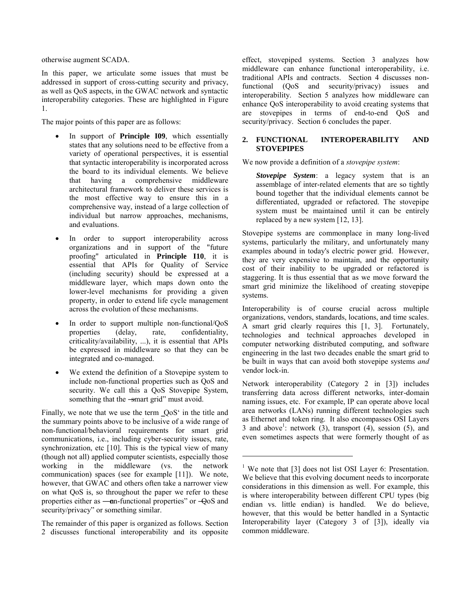otherwise augment SCADA.

In this paper, we articulate some issues that must be addressed in support of cross-cutting security and privacy, as well as QoS aspects, in the GWAC network and syntactic interoperability categories. These are highlighted in Figure 1.

The major points of this paper are as follows:

- In support of **Principle I09**, which essentially states that any solutions need to be effective from a variety of operational perspectives, it is essential that syntactic interoperability is incorporated across the board to its individual elements. We believe that having a comprehensive middleware architectural framework to deliver these services is the most effective way to ensure this in a comprehensive way, instead of a large collection of individual but narrow approaches, mechanisms, and evaluations.
- In order to support interoperability across organizations and in support of the "future proofing" articulated in **Principle I10**, it is essential that APIs for Quality of Service (including security) should be expressed at a middleware layer, which maps down onto the lower-level mechanisms for providing a given property, in order to extend life cycle management across the evolution of these mechanisms.
- In order to support multiple non-functional/QoS properties (delay, rate, confidentiality, criticality/availability, ...), it is essential that APIs be expressed in middleware so that they can be integrated and co-managed.
- We extend the definition of a Stovepipe system to include non-functional properties such as QoS and security. We call this a QoS Stovepipe System, something that the -smart grid" must avoid.

Finally, we note that we use the term  $QoS<sup>c</sup>$  in the title and the summary points above to be inclusive of a wide range of non-functional/behavioral requirements for smart grid communications, i.e., including cyber-security issues, rate, synchronization, etc [10]. This is the typical view of many (though not all) applied computer scientists, especially those working in the middleware (vs. the network communication) spaces (see for example [11]). We note, however, that GWAC and others often take a narrower view on what QoS is, so throughout the paper we refer to these properties either as  $-\text{an-functional properties}$  or  $-\text{OoS}$  and security/privacy" or something similar.

The remainder of this paper is organized as follows. Section 2 discusses functional interoperability and its opposite

effect, stovepiped systems. Section 3 analyzes how middleware can enhance functional interoperability, i.e. traditional APIs and contracts. Section 4 discusses nonfunctional (QoS and security/privacy) issues and interoperability. Section 5 analyzes how middleware can enhance QoS interoperability to avoid creating systems that are stovepipes in terms of end-to-end QoS and security/privacy. Section 6 concludes the paper.

#### **2. FUNCTIONAL INTEROPERABILITY AND STOVEPIPES**

We now provide a definition of a *stovepipe system*:

*Stovepipe System*: a legacy system that is an assemblage of inter-related elements that are so tightly bound together that the individual elements cannot be differentiated, upgraded or refactored. The stovepipe system must be maintained until it can be entirely replaced by a new system [12, 13].

Stovepipe systems are commonplace in many long-lived systems, particularly the military, and unfortunately many examples abound in today's electric power grid. However, they are very expensive to maintain, and the opportunity cost of their inability to be upgraded or refactored is staggering. It is thus essential that as we move forward the smart grid minimize the likelihood of creating stovepipe systems.

Interoperability is of course crucial across multiple organizations, vendors, standards, locations, and time scales. A smart grid clearly requires this [1, 3]. Fortunately, technologies and technical approaches developed in computer networking distributed computing, and software engineering in the last two decades enable the smart grid to be built in ways that can avoid both stovepipe systems *and* vendor lock-in.

Network interoperability (Category 2 in [3]) includes transferring data across different networks, inter-domain naming issues, etc. For example, IP can operate above local area networks (LANs) running different technologies such as Ethernet and token ring. It also encompasses OSI Layers 3 and above<sup>1</sup>: network  $(3)$ , transport  $(4)$ , session  $(5)$ , and even sometimes aspects that were formerly thought of as

 $\overline{a}$ 

<sup>&</sup>lt;sup>1</sup> We note that [3] does not list OSI Layer 6: Presentation. We believe that this evolving document needs to incorporate considerations in this dimension as well. For example, this is where interoperability between different CPU types (big endian vs. little endian) is handled. We do believe, however, that this would be better handled in a Syntactic Interoperability layer (Category 3 of [3]), ideally via common middleware.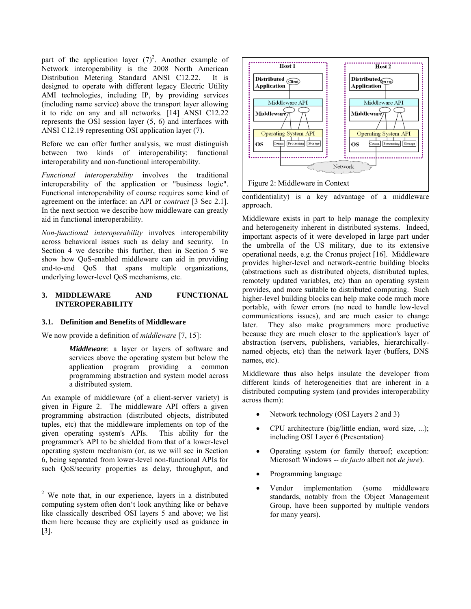part of the application layer  $(7)^2$ . Another example of Network interoperability is the 2008 North American Distribution Metering Standard ANSI C12.22. It is designed to operate with different legacy Electric Utility AMI technologies, including IP, by providing services (including name service) above the transport layer allowing it to ride on any and all networks. [14] ANSI C12.22 represents the OSI session layer (5, 6) and interfaces with ANSI C12.19 representing OSI application layer (7).

Before we can offer further analysis, we must distinguish between two kinds of interoperability: functional interoperability and non-functional interoperability.

*Functional interoperability* involves the traditional interoperability of the application or "business logic". Functional interoperability of course requires some kind of agreement on the interface: an API or *contract* [3 Sec 2.1]. In the next section we describe how middleware can greatly aid in functional interoperability.

*Non-functional interoperability* involves interoperability across behavioral issues such as delay and security. In Section 4 we describe this further, then in Section 5 we show how QoS-enabled middleware can aid in providing end-to-end QoS that spans multiple organizations, underlying lower-level QoS mechanisms, etc.

# **3. MIDDLEWARE AND FUNCTIONAL INTEROPERABILITY**

# **3.1. Definition and Benefits of Middleware**

We now provide a definition of *middleware* [7, 15]:

*Middleware*: a layer or layers of software and services above the operating system but below the application program providing a common programming abstraction and system model across a distributed system.

An example of middleware (of a client-server variety) is given in Figure 2. The middleware API offers a given programming abstraction (distributed objects, distributed tuples, etc) that the middleware implements on top of the given operating system's APIs. This ability for the programmer's API to be shielded from that of a lower-level operating system mechanism (or, as we will see in Section 6, being separated from lower-level non-functional APIs for such QoS/security properties as delay, throughput, and

 $\overline{a}$ 



confidentiality) is a key advantage of a middleware approach.

Middleware exists in part to help manage the complexity and heterogeneity inherent in distributed systems. Indeed, important aspects of it were developed in large part under the umbrella of the US military, due to its extensive operational needs, e.g. the Cronus project [16]. Middleware provides higher-level and network-centric building blocks (abstractions such as distributed objects, distributed tuples, remotely updated variables, etc) than an operating system provides, and more suitable to distributed computing. Such higher-level building blocks can help make code much more portable, with fewer errors (no need to handle low-level communications issues), and are much easier to change later. They also make programmers more productive because they are much closer to the application's layer of abstraction (servers, publishers, variables, hierarchicallynamed objects, etc) than the network layer (buffers, DNS names, etc).

Middleware thus also helps insulate the developer from different kinds of heterogeneities that are inherent in a distributed computing system (and provides interoperability across them):

- Network technology (OSI Layers 2 and 3)
- CPU architecture (big/little endian, word size, ...); including OSI Layer 6 (Presentation)
- Operating system (or family thereof; exception: Microsoft Windows -- *de facto* albeit not *de jure*).
- Programming language
- Vendor implementation (some middleware standards, notably from the Object Management Group, have been supported by multiple vendors for many years).

<sup>&</sup>lt;sup>2</sup> We note that, in our experience, layers in a distributed computing system often don't look anything like or behave like classically described OSI layers 5 and above; we list them here because they are explicitly used as guidance in [3].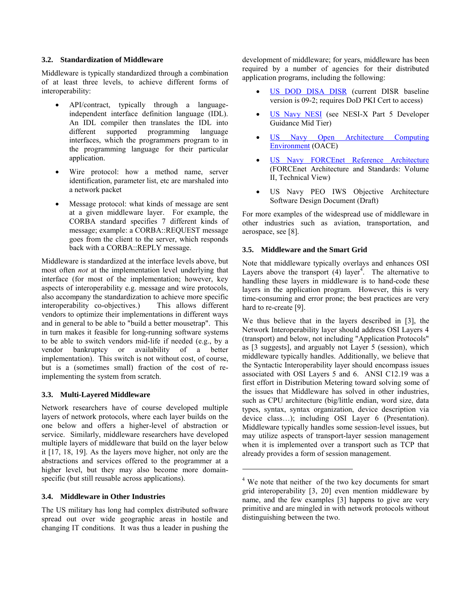### **3.2. Standardization of Middleware**

Middleware is typically standardized through a combination of at least three levels, to achieve different forms of interoperability:

- API/contract, typically through a languageindependent interface definition language (IDL). An IDL compiler then translates the IDL into different supported programming language supported programming language interfaces, which the programmers program to in the programming language for their particular application.
- Wire protocol: how a method name, server identification, parameter list, etc are marshaled into a network packet
- Message protocol: what kinds of message are sent at a given middleware layer. For example, the CORBA standard specifies 7 different kinds of message; example: a CORBA::REQUEST message goes from the client to the server, which responds back with a CORBA::REPLY message.

Middleware is standardized at the interface levels above, but most often *not* at the implementation level underlying that interface (for most of the implementation; however, key aspects of interoperability e.g. message and wire protocols, also accompany the standardization to achieve more specific<br>interoperability co-objectives.) This allows different interoperability co-objectives.) vendors to optimize their implementations in different ways and in general to be able to "build a better mousetrap". This in turn makes it feasible for long-running software systems to be able to switch vendors mid-life if needed (e.g., by a vendor bankruptcy or availability of a better implementation). This switch is not without cost, of course, but is a (sometimes small) fraction of the cost of reimplementing the system from scratch.

#### **3.3. Multi-Layered Middleware**

Network researchers have of course developed multiple layers of network protocols, where each layer builds on the one below and offers a higher-level of abstraction or service. Similarly, middleware researchers have developed multiple layers of middleware that build on the layer below it [17, 18, 19]. As the layers move higher, not only are the abstractions and services offered to the programmer at a higher level, but they may also become more domainspecific (but still reusable across applications).

# **3.4. Middleware in Other Industries**

The US military has long had complex distributed software spread out over wide geographic areas in hostile and changing IT conditions. It was thus a leader in pushing the development of middleware; for years, middleware has been required by a number of agencies for their distributed application programs, including the following:

- [US DOD DISA DISR](https://disronline.disa.mil/a/public/DISR_reports.jsp) (current DISR baseline version is 09-2; requires DoD PKI Cert to access)
- [US Navy NESI](http://nesipublic.spawar.navy.mil/) (see NESI-X Part 5 Developer Guidance Mid Tier)
- [US Navy Open Architecture Computing](https://acc.dau.mil/CommunityBrowser.aspx?id=22100&lang=en-US)  [Environment](https://acc.dau.mil/CommunityBrowser.aspx?id=22100&lang=en-US) (OACE)
- [US Navy FORCEnet Reference Architecture](http://forcenet.navy.mil/) (FORCEnet Architecture and Standards: Volume II, Technical View)
- US Navy PEO IWS Objective Architecture Software Design Document (Draft)

For more examples of the widespread use of middleware in other industries such as aviation, transportation, and aerospace, see [8].

### **3.5. Middleware and the Smart Grid**

Note that middleware typically overlays and enhances OSI Layers above the transport  $(4)$  layer<sup>4</sup>. The alternative to handling these layers in middleware is to hand-code these layers in the application program. However, this is very time-consuming and error prone; the best practices are very hard to re-create [9].

We thus believe that in the layers described in [3], the Network Interoperability layer should address OSI Layers 4 (transport) and below, not including "Application Protocols" as [3 suggests], and arguably not Layer 5 (session), which middleware typically handles. Additionally, we believe that the Syntactic Interoperability layer should encompass issues associated with OSI Layers 5 and 6. ANSI C12.19 was a first effort in Distribution Metering toward solving some of the issues that Middleware has solved in other industries, such as CPU architecture (big/little endian, word size, data types, syntax, syntax organization, device description via device class…); including OSI Layer 6 (Presentation). Middleware typically handles some session-level issues, but may utilize aspects of transport-layer session management when it is implemented over a transport such as TCP that already provides a form of session management.

 $\overline{a}$ 

<sup>&</sup>lt;sup>4</sup> We note that neither of the two key documents for smart grid interoperability [3, 20] even mention middleware by name, and the few examples [3] happens to give are very primitive and are mingled in with network protocols without distinguishing between the two.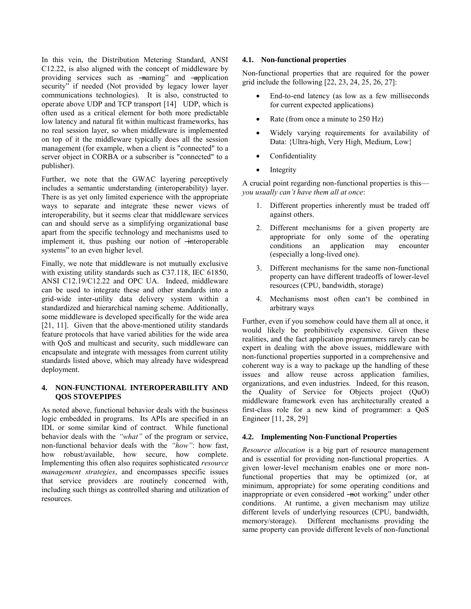In this vein, the Distribution Metering Standard, ANSI C12.22, is also aligned with the concept of middleware by providing services such as -naming" and -application security" if needed (Not provided by legacy lower layer communications technologies). It is also, constructed to operate above UDP and TCP transport [14] UDP, which is often used as a critical element for both more predictable low latency and natural fit within multicast frameworks, has no real session layer, so when middleware is implemented on top of it the middleware typically does all the session management (for example, when a client is "connected" to a server object in CORBA or a subscriber is "connected" to a publisher).

Further, we note that the GWAC layering perceptively includes a semantic understanding (interoperability) layer. There is as yet only limited experience with the appropriate ways to separate and integrate these newer views of interoperability, but it seems clear that middleware services can and should serve as a simplifying organizational base apart from the specific technology and mechanisms used to implement it, thus pushing our notion of  $\overline{\text{}}$ -interoperable systems" to an even higher level.

Finally, we note that middleware is not mutually exclusive with existing utility standards such as C37.118, IEC 61850, ANSI C12.19/C12.22 and OPC UA. Indeed, middleware can be used to integrate these and other standards into a grid-wide inter-utility data delivery system within a standardized and hierarchical naming scheme. Additionally, some middleware is developed specifically for the wide area [21, 11]. Given that the above-mentioned utility standards feature protocols that have varied abilities for the wide area with QoS and multicast and security, such middleware can encapsulate and integrate with messages from current utility standards listed above, which may already have widespread deployment.

### **4. NON-FUNCTIONAL INTEROPERABILITY AND QOS STOVEPIPES**

As noted above, functional behavior deals with the business logic embedded in programs. Its APIs are specified in an IDL or some similar kind of contract. While functional behavior deals with the *"what"* of the program or service, non-functional behavior deals with the *"how"*: how fast, how robust/available, how secure, how complete. Implementing this often also requires sophisticated *resource management strategies*, and encompasses specific issues that service providers are routinely concerned with, including such things as controlled sharing and utilization of resources.

## **4.1. Non-functional properties**

Non-functional properties that are required for the power grid include the following [22, 23, 24, 25, 26, 27]:

- End-to-end latency (as low as a few milliseconds for current expected applications)
- Rate (from once a minute to 250 Hz)
- Widely varying requirements for availability of Data: {Ultra-high, Very High, Medium, Low}
- Confidentiality
- Integrity

A crucial point regarding non-functional properties is this *you usually can't have them all at once*:

- 1. Different properties inherently must be traded off against others.
- 2. Different mechanisms for a given property are appropriate for only some of the operating conditions an application may encounter (especially a long-lived one).
- 3. Different mechanisms for the same non-functional property can have different tradeoffs of lower-level resources (CPU, bandwidth, storage)
- 4. Mechanisms most often can't be combined in arbitrary ways

Further, even if you somehow could have them all at once, it would likely be prohibitively expensive. Given these realities, and the fact application programmers rarely can be expert in dealing with the above issues, middleware with non-functional properties supported in a comprehensive and coherent way is a way to package up the handling of these issues and allow reuse across application families, organizations, and even industries. Indeed, for this reason, the Quality of Service for Objects project (QuO) middleware framework even has architecturally created a first-class role for a new kind of programmer: a QoS Engineer [11, 28, 29]

#### **4.2. Implementing Non-Functional Properties**

*Resource allocation* is a big part of resource management and is essential for providing non-functional properties. A given lower-level mechanism enables one or more nonfunctional properties that may be optimized (or, at minimum, appropriate) for some operating conditions and inappropriate or even considered —not working" under other conditions. At runtime, a given mechanism may utilize different levels of underlying resources (CPU, bandwidth, memory/storage). Different mechanisms providing the same property can provide different levels of non-functional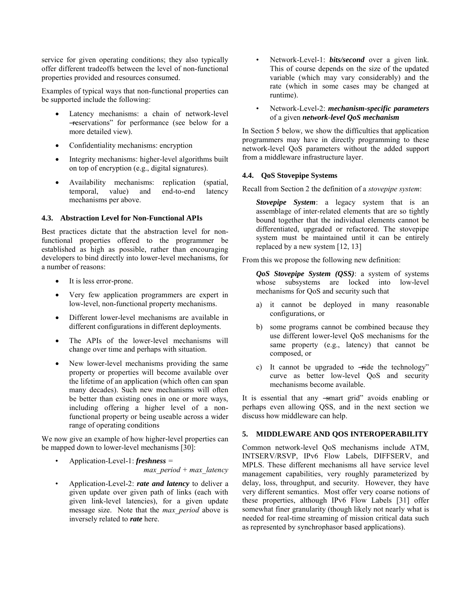service for given operating conditions; they also typically offer different tradeoffs between the level of non-functional properties provided and resources consumed.

Examples of typical ways that non-functional properties can be supported include the following:

- Latency mechanisms: a chain of network-level ―reservations‖ for performance (see below for a more detailed view).
- Confidentiality mechanisms: encryption
- Integrity mechanisms: higher-level algorithms built on top of encryption (e.g., digital signatures).
- Availability mechanisms: replication (spatial, temporal, value) and end-to-end latency mechanisms per above.

### **4.3. Abstraction Level for Non-Functional APIs**

Best practices dictate that the abstraction level for nonfunctional properties offered to the programmer be established as high as possible, rather than encouraging developers to bind directly into lower-level mechanisms, for a number of reasons:

- It is less error-prone.
- Very few application programmers are expert in low-level, non-functional property mechanisms.
- Different lower-level mechanisms are available in different configurations in different deployments.
- The APIs of the lower-level mechanisms will change over time and perhaps with situation.
- New lower-level mechanisms providing the same property or properties will become available over the lifetime of an application (which often can span many decades). Such new mechanisms will often be better than existing ones in one or more ways, including offering a higher level of a nonfunctional property or being useable across a wider range of operating conditions

We now give an example of how higher-level properties can be mapped down to lower-level mechanisms [30]:

- Application-Level-1: *freshness = max\_period + max\_latency*
- Application-Level-2: *rate and latency* to deliver a given update over given path of links (each with given link-level latencies), for a given update message size. Note that the *max\_period* above is inversely related to *rate* here.
- Network-Level-1: *bits/second* over a given link. This of course depends on the size of the updated variable (which may vary considerably) and the rate (which in some cases may be changed at runtime).
- Network-Level-2: *mechanism-specific parameters* of a given *network-level QoS mechanism*

In Section 5 below, we show the difficulties that application programmers may have in directly programming to these network-level QoS parameters without the added support from a middleware infrastructure layer.

### **4.4. QoS Stovepipe Systems**

Recall from Section 2 the definition of a *stovepipe system*:

*Stovepipe System*: a legacy system that is an assemblage of inter-related elements that are so tightly bound together that the individual elements cannot be differentiated, upgraded or refactored. The stovepipe system must be maintained until it can be entirely replaced by a new system [12, 13]

From this we propose the following new definition:

*QoS Stovepipe System (QSS)*: a system of systems whose subsystems are locked into low-level mechanisms for QoS and security such that

- a) it cannot be deployed in many reasonable configurations, or
- b) some programs cannot be combined because they use different lower-level QoS mechanisms for the same property (e.g., latency) that cannot be composed, or
- c) It cannot be upgraded to  $\overrightarrow{+}$  the technology" curve as better low-level QoS and security mechanisms become available.

It is essential that any -smart grid" avoids enabling or perhaps even allowing QSS, and in the next section we discuss how middleware can help.

# **5. MIDDLEWARE AND QOS INTEROPERABILITY**

Common network-level QoS mechanisms include ATM, INTSERV/RSVP, IPv6 Flow Labels, DIFFSERV, and MPLS. These different mechanisms all have service level management capabilities, very roughly parameterized by delay, loss, throughput, and security. However, they have very different semantics. Most offer very coarse notions of these properties, although IPv6 Flow Labels [31] offer somewhat finer granularity (though likely not nearly what is needed for real-time streaming of mission critical data such as represented by synchrophasor based applications).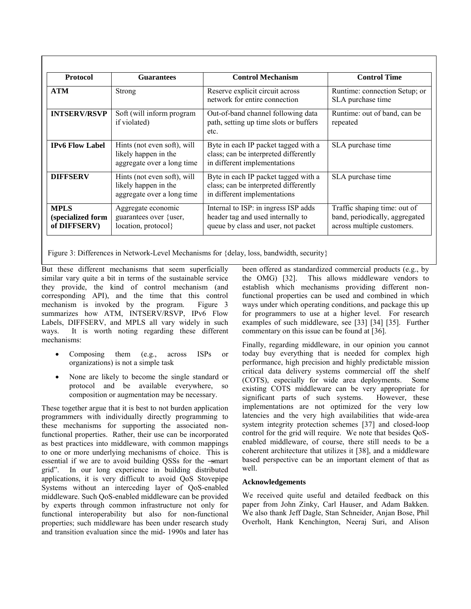| <b>Protocol</b>                                  | <b>Guarantees</b>                                                                 | <b>Control Mechanism</b>                                                                                         | <b>Control Time</b>                                                                          |
|--------------------------------------------------|-----------------------------------------------------------------------------------|------------------------------------------------------------------------------------------------------------------|----------------------------------------------------------------------------------------------|
| <b>ATM</b>                                       | <b>Strong</b>                                                                     | Reserve explicit circuit across<br>network for entire connection                                                 | Runtime: connection Setup; or<br>SLA purchase time                                           |
| <b>INTSERV/RSVP</b>                              | Soft (will inform program<br>if violated)                                         | Out-of-band channel following data<br>path, setting up time slots or buffers<br>etc.                             | Runtime: out of band, can be<br>repeated                                                     |
| <b>IPv6 Flow Label</b>                           | Hints (not even soft), will<br>likely happen in the<br>aggregate over a long time | Byte in each IP packet tagged with a<br>class; can be interpreted differently<br>in different implementations    | SLA purchase time                                                                            |
| <b>DIFFSERV</b>                                  | Hints (not even soft), will<br>likely happen in the<br>aggregate over a long time | Byte in each IP packet tagged with a<br>class; can be interpreted differently<br>in different implementations    | SLA purchase time                                                                            |
| <b>MPLS</b><br>(specialized form<br>of DIFFSERV) | Aggregate economic<br>guarantees over {user,<br>location, protocol}               | Internal to ISP: in ingress ISP adds<br>header tag and used internally to<br>queue by class and user, not packet | Traffic shaping time: out of<br>band, periodically, aggregated<br>across multiple customers. |

Figure 3: Differences in Network-Level Mechanisms for {delay, loss, bandwidth, security}

But these different mechanisms that seem superficially similar vary quite a bit in terms of the sustainable service they provide, the kind of control mechanism (and corresponding API), and the time that this control mechanism is invoked by the program. Figure 3 summarizes how ATM, INTSERV/RSVP, IPv6 Flow Labels, DIFFSERV, and MPLS all vary widely in such ways. It is worth noting regarding these different mechanisms:

- Composing them (e.g., across ISPs or organizations) is not a simple task
- None are likely to become the single standard or protocol and be available everywhere, so composition or augmentation may be necessary.

These together argue that it is best to not burden application programmers with individually directly programming to these mechanisms for supporting the associated nonfunctional properties. Rather, their use can be incorporated as best practices into middleware, with common mappings to one or more underlying mechanisms of choice. This is essential if we are to avoid building QSSs for the -smart grid‖. In our long experience in building distributed applications, it is very difficult to avoid QoS Stovepipe Systems without an interceding layer of QoS-enabled middleware. Such QoS-enabled middleware can be provided by experts through common infrastructure not only for functional interoperability but also for non-functional properties; such middleware has been under research study and transition evaluation since the mid- 1990s and later has

been offered as standardized commercial products (e.g., by the OMG) [32]. This allows middleware vendors to establish which mechanisms providing different nonfunctional properties can be used and combined in which ways under which operating conditions, and package this up for programmers to use at a higher level. For research examples of such middleware, see [33] [34] [35]. Further commentary on this issue can be found at [36].

Finally, regarding middleware, in our opinion you cannot today buy everything that is needed for complex high performance, high precision and highly predictable mission critical data delivery systems commercial off the shelf (COTS), especially for wide area deployments. Some existing COTS middleware can be very appropriate for significant parts of such systems. However, these implementations are not optimized for the very low latencies and the very high availabilities that wide-area system integrity protection schemes [37] and closed-loop control for the grid will require. We note that besides QoSenabled middleware, of course, there still needs to be a coherent architecture that utilizes it [38], and a middleware based perspective can be an important element of that as well.

# **Acknowledgements**

We received quite useful and detailed feedback on this paper from John Zinky, Carl Hauser, and Adam Bakken. We also thank Jeff Dagle, Stan Schneider, Anjan Bose, Phil Overholt, Hank Kenchington, Neeraj Suri, and Alison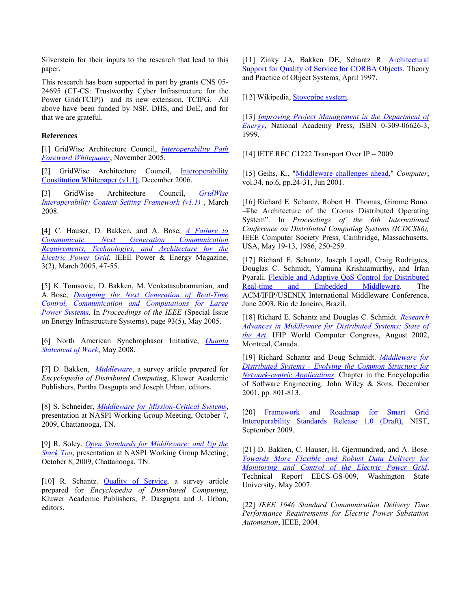Silverstein for their inputs to the research that lead to this paper.

This research has been supported in part by grants CNS 05- 24695 (CT-CS: Trustworthy Cyber Infrastructure for the Power Grid(TCIP)) and its new extension, TCIPG. All above have been funded by NSF, DHS, and DoE, and for that we are grateful.

#### **References**

[1] GridWise Architecture Council, *[Interoperability Path](http://www.gridwiseac.org/pdfs/interoperability_path_whitepaper_v1_0.pdf)  [Foreward Whitepaper](http://www.gridwiseac.org/pdfs/interoperability_path_whitepaper_v1_0.pdf)*, November 2005.

[2] GridWise Architecture Council, Interoperability [Constitution Whitepaper \(v1.1\),](http://www.gridwiseac.org/pdfs/constitution_whitepaper_v1_1.pdf) December 2006.

[3] GridWise Architecture Council, *[GridWise](http://www.gridwiseac.org/pdfs/interopframework_v1_1.pdf)  [Interoperability Context-Setting Framework \(v1.1\)](http://www.gridwiseac.org/pdfs/interopframework_v1_1.pdf)* , March 2008.

[4] C. Hauser, D. Bakken, and A. Bose, *[A Failure to](http://ieeexplore.ieee.org/xpls/abs_all.jsp?isnumber=30485&arnumber=1405870&count=29&index=11)  [Communicate: Next Generation Communication](http://ieeexplore.ieee.org/xpls/abs_all.jsp?isnumber=30485&arnumber=1405870&count=29&index=11)  [Requirements, Technologies, and Architecture for the](http://ieeexplore.ieee.org/xpls/abs_all.jsp?isnumber=30485&arnumber=1405870&count=29&index=11)  [Electric Power Grid](http://ieeexplore.ieee.org/xpls/abs_all.jsp?isnumber=30485&arnumber=1405870&count=29&index=11)*, IEEE Power & Energy Magazine, 3(2), March 2005, 47-55.

[5] K. Tomsovic, D. Bakken, M. Venkatasubramanian, and A. Bose, *[Designing the Next Generation of Real-Time](http://gridstat.net/publications/IEEE-Proceedings-Submitted.pdf)  [Control, Communication and Computations for Large](http://gridstat.net/publications/IEEE-Proceedings-Submitted.pdf)  [Power Systems](http://gridstat.net/publications/IEEE-Proceedings-Submitted.pdf)*. In *Proceedings of the IEEE* (Special Issue on Energy Infrastructure Systems), page 93(5), May 2005.

[6] North American Synchrophasor Initiative, *[Quanta](http://www.naspi.org/resources/dnmtt/naspinet/quanta_sow.pdf)  [Statement of Work](http://www.naspi.org/resources/dnmtt/naspinet/quanta_sow.pdf)*, May 2008.

[7] D. Bakken, *[Middleware](http://eecs.wsu.edu/~bakken/middleware.pdf)*, a survey article prepared for *Encyclopedia of Distributed Computing*, Kluwer Academic Publishers, Partha Dasgupta and Joseph Urban, editors.

[8] S. Schneider, *[Middleware for Mission-Critical Systems](http://www.naspi.org/meetings/workgroup/2009_october/presentations/schneider_rti_middleware_mission_critical_20091007.pdf)*, presentation at NASPI Working Group Meeting, October 7, 2009, Chattanooga, TN.

[9] R. Soley. *[Open Standards for Middleware: and Up the](http://www.naspi.org/meetings/workgroup/2009_october/presentations/soley_schweitzer_open_internal_standards_20091008.pdf)  [Stack Too](http://www.naspi.org/meetings/workgroup/2009_october/presentations/soley_schweitzer_open_internal_standards_20091008.pdf)*, presentation at NASPI Working Group Meeting, October 8, 2009, Chattanooga, TN.

[10] R. Schantz. [Quality of Service,](http://www.dist-systems.bbn.com/papers/1999/QoSArticle/) a survey article prepared for *Encyclopedia of Distributed Computing*, Kluwer Academic Publishers, P. Dasgupta and J. Urban, editors.

[11] Zinky JA, Bakken DE, Schantz R. Architectural [Support for Quality of Service for CORBA Objects.](http://www.dist-systems.bbn.com/papers/1997/TAPOS/) Theory and Practice of Object Systems, April 1997.

[12] Wikipedia, [Stovepipe system.](http://en.wikipedia.org/wiki/Stovepipe_system)

[13] *[Improving Project Management in the Department of](http://books.nap.edu/catalog.php?record_id=9627)  [Energy](http://books.nap.edu/catalog.php?record_id=9627)*, National Academy Press, ISBN 0-309-06626-3, 1999.

[14] IETF RFC C1222 Transport Over IP – 2009.

[15] Geihs, K., ["Middleware challenges ahead,"](http://ieeexplore.ieee.org/xpls/abs_all.jsp?tp=&arnumber=928618&isnumber=20074&tag=1) *Computer*, vol.34, no.6, pp.24-31, Jun 2001.

[16] Richard E. Schantz, Robert H. Thomas, Girome Bono. ―The Architecture of the Cronus Distributed Operating System‖. In *Proceedings of the 6th International Conference on Distributed Computing Systems (ICDCS86),* IEEE Computer Society Press, Cambridge, Massachusetts, USA, May 19-13, 1986, 250-259.

[17] Richard E. Schantz, Joseph Loyall, Craig Rodrigues, Douglas C. Schmidt, Yamuna Krishnamurthy, and Irfan Pyarali. [Flexible and Adaptive QoS Control for Distributed](http://quo.bbn.com/papers/2003/Middleware2003/index.shtml)  [Real-time and Embedded Middleware.](http://quo.bbn.com/papers/2003/Middleware2003/index.shtml) The ACM/IFIP/USENIX International Middleware Conference, June 2003, Rio de Janeiro, Brazil.

[18] Richard E. Schantz and Douglas C. Schmidt. *[Research](http://www.dist-systems.bbn.com/papers/2003/IFIP/index.shtml)  [Advances in Middleware for Distributed Systems: State of](http://www.dist-systems.bbn.com/papers/2003/IFIP/index.shtml)  [the Art](http://www.dist-systems.bbn.com/papers/2003/IFIP/index.shtml)*. IFIP World Computer Congress, August 2002, Montreal, Canada.

[19] Richard Schantz and Doug Schmidt. *[Middleware for](http://www.dist-systems.bbn.com/papers/2001/EvolutionOfMiddleware/)  [Distributed Systems - Evolving the Common Structure for](http://www.dist-systems.bbn.com/papers/2001/EvolutionOfMiddleware/)  [Network-centric Applications](http://www.dist-systems.bbn.com/papers/2001/EvolutionOfMiddleware/)*. Chapter in the Encyclopedia of Software Engineering. John Wiley & Sons. December 2001, pp. 801-813.

[20] Framework and Roadmap for Smart Grid [Interoperability Standards Release 1.0 \(Draft\),](http://www.nist.gov/public_affairs/releases/smartgrid_interoperability.pdf) NIST, September 2009.

[21] D. Bakken, C. Hauser, H. Gjermundrød, and A. Bose. *[Towards More Flexible and Robust Data Delivery for](http://gridstat.net/publications/TR-GS-009.pdf)  [Monitoring and Control of the Electric Power Grid](http://gridstat.net/publications/TR-GS-009.pdf)*, Technical Report EECS-GS-009, Washington State University, May 2007.

[22] *IEEE 1646 Standard Communication Delivery Time Performance Requirements for Electric Power Substation Automation*, IEEE, 2004.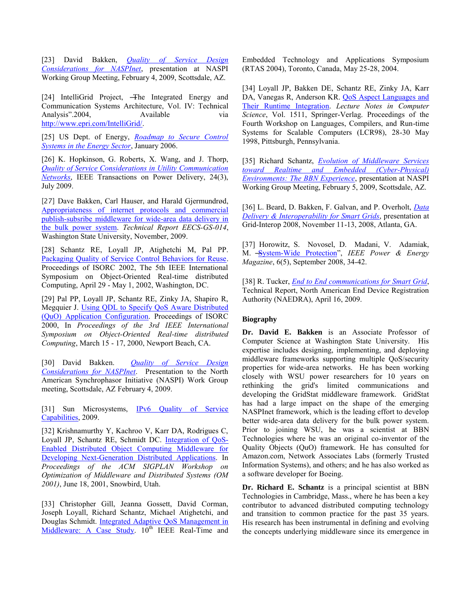[23] David Bakken, *[Quality of Service Design](http://www.naspi.org/meetings/workgroup/2009_february/presentations/wsu_qos_design_bakken_20090204.pdf)  [Considerations for NASPInet](http://www.naspi.org/meetings/workgroup/2009_february/presentations/wsu_qos_design_bakken_20090204.pdf)*, presentation at NASPI Working Group Meeting, February 4, 2009, Scottsdale, AZ.

[24] IntelliGrid Project, —The Integrated Energy and Communication Systems Architecture, Vol. IV: Technical Analysis".2004, Available via [http://www.epri.com/IntelliGrid/.](http://www.epri.com/IntelliGrid/)

[25] US Dept. of Energy, *[Roadmap to Secure Control](http://www.controlsystemsroadmap.net/pdfs/roadmap.pdf)  [Systems in the Energy Sector](http://www.controlsystemsroadmap.net/pdfs/roadmap.pdf)*, January 2006.

[26] K. Hopkinson, G. Roberts, X. Wang, and J. Thorp, *[Quality of Service Considerations in Utility Communication](http://ieeexplore.ieee.org/xpls/abs_all.jsp?arnumber=4796248&isnumber=5109837&type=ref?tag=1)  [Networks](http://ieeexplore.ieee.org/xpls/abs_all.jsp?arnumber=4796248&isnumber=5109837&type=ref?tag=1)*, IEEE Transactions on Power Delivery, 24(3), July 2009.

[27] Dave Bakken, Carl Hauser, and Harald Gjermundrød, [Appropriateness of internet protocols and commercial](http://gridstat.net/publications/TR-GS-014.pdf)  [publish-subsribe middleware for wide-area data delivery in](http://gridstat.net/publications/TR-GS-014.pdf)  [the bulk power system.](http://gridstat.net/publications/TR-GS-014.pdf) *Technical Report EECS-GS-014*, Washington State University, November, 2009.

[28] Schantz RE, Loyall JP, Atighetchi M, Pal PP. [Packaging Quality of Service Control Behaviors for Reuse.](http://www.dist-systems.bbn.com/papers/2002/ISORC/) Proceedings of ISORC 2002, The 5th IEEE International Symposium on Object-Oriented Real-time distributed Computing, April 29 - May 1, 2002, Washington, DC.

[29] Pal PP, Loyall JP, Schantz RE, Zinky JA, Shapiro R, Megquier J. [Using QDL to Specify QoS Aware Distributed](http://www.dist-systems.bbn.com/papers/2000/ISORC/)  [\(QuO\) Application Configuration.](http://www.dist-systems.bbn.com/papers/2000/ISORC/) Proceedings of ISORC 2000, In *Proceedings of the 3rd IEEE International Symposium on Object-Oriented Real-time distributed Computing*, March 15 - 17, 2000, Newport Beach, CA.

[30] David Bakken. *[Quality of Service Design](http://www.naspi.org/meetings/workgroup/2009_february/presentations/wsu_qos_design_bakken_20090204.pdf)  [Considerations for NASPInet](http://www.naspi.org/meetings/workgroup/2009_february/presentations/wsu_qos_design_bakken_20090204.pdf)*. Presentation to the North American Synchrophasor Initiative (NASPI) Work Group meeting, Scottsdale, AZ February 4, 2009.

[31] Sun Microsystems, [IPv6 Quality of Service](http://docs.sun.com/app/docs/doc/817-0573/6mgc65bb9?a=view)  [Capabilities,](http://docs.sun.com/app/docs/doc/817-0573/6mgc65bb9?a=view) 2009.

[32] Krishnamurthy Y, Kachroo V, Karr DA, Rodrigues C, Loyall JP, Schantz RE, Schmidt DC. [Integration of QoS-](http://www.dist-systems.bbn.com/papers/2001/pldiom/)[Enabled Distributed Object Computing Middleware for](http://www.dist-systems.bbn.com/papers/2001/pldiom/)  [Developing Next-Generation Distributed Applications.](http://www.dist-systems.bbn.com/papers/2001/pldiom/) In *Proceedings of the ACM SIGPLAN Workshop on Optimization of Middleware and Distributed Systems (OM 2001)*, June 18, 2001, Snowbird, Utah.

[33] Christopher Gill, Jeanna Gossett, David Corman, Joseph Loyall, Richard Schantz, Michael Atighetchi, and Douglas Schmidt. [Integrated Adaptive QoS Management in](http://quo.bbn.com/papers/2004/RTAS/index.shtml)  [Middleware: A Case Study.](http://quo.bbn.com/papers/2004/RTAS/index.shtml)  $10^{th}$  IEEE Real-Time and Embedded Technology and Applications Symposium (RTAS 2004), Toronto, Canada, May 25-28, 2004.

[34] Loyall JP, Bakken DE, Schantz RE, Zinky JA, Karr DA, Vanegas R, Anderson KR. [QoS Aspect Languages and](http://www.dist-systems.bbn.com/papers/1998/LCR/)  [Their Runtime Integration.](http://www.dist-systems.bbn.com/papers/1998/LCR/) *Lecture Notes in Computer Science*, Vol. 1511, Springer-Verlag. Proceedings of the Fourth Workshop on Languages, Compilers, and Run-time Systems for Scalable Computers (LCR98), 28-30 May 1998, Pittsburgh, Pennsylvania.

[35] Richard Schantz, *[Evolution of Middleware Services](http://www.naspi.org/meetings/workgroup/2009_february/presentations/bbn_evolution_middleware_services_schantz_20090205.pdf)  [toward Realtime and Embedded \(Cyber-Physical\)](http://www.naspi.org/meetings/workgroup/2009_february/presentations/bbn_evolution_middleware_services_schantz_20090205.pdf)  [Environments: The BBN Experience](http://www.naspi.org/meetings/workgroup/2009_february/presentations/bbn_evolution_middleware_services_schantz_20090205.pdf)*, presentation at NASPI Working Group Meeting, February 5, 2009, Scottsdale, AZ.

[36] L. Beard, D. Bakken, F. Galvan, and P. Overholt, *[Data](http://www.sessionview.com/data/2008/11/26/pdf/Lisa-Beard-3714.pdf)  [Delivery & Interoperability for Smart Grids](http://www.sessionview.com/data/2008/11/26/pdf/Lisa-Beard-3714.pdf)*, presentation at Grid-Interop 2008, November 11-13, 2008, Atlanta, GA.

[37] Horowitz, S. Novosel, D. Madani, V. Adamiak, M. System-Wide Protection", *IEEE Power & Energy Magazine*, 6(5), September 2008, 34-42.

[38] R. Tucker, *[End to End communications for Smart Grid](http://www.naedra.org/doc/public/09_04_16EndToEndCommunicationsForSmartGrid&Drawings.pdf)*, Technical Report, North American End Device Registration Authority (NAEDRA), April 16, 2009.

#### **Biography**

**Dr. David E. Bakken** is an Associate Professor of Computer Science at Washington State University. His expertise includes designing, implementing, and deploying middleware frameworks supporting multiple QoS/security properties for wide-area networks. He has been working closely with WSU power researchers for 10 years on rethinking the grid's limited communications and developing the GridStat middleware framework. GridStat has had a large impact on the shape of the emerging NASPInet framework, which is the leading effort to develop better wide-area data delivery for the bulk power system. Prior to joining WSU, he was a scientist at BBN Technologies where he was an original co-inventor of the Quality Objects (QuO) framework. He has consulted for Amazon.com, Network Associates Labs (formerly Trusted Information Systems), and others; and he has also worked as a software developer for Boeing.

**Dr. Richard E. Schantz** is a principal scientist at BBN Technologies in Cambridge, Mass., where he has been a key contributor to advanced distributed computing technology and transition to common practice for the past 35 years. His research has been instrumental in defining and evolving the concepts underlying middleware since its emergence in